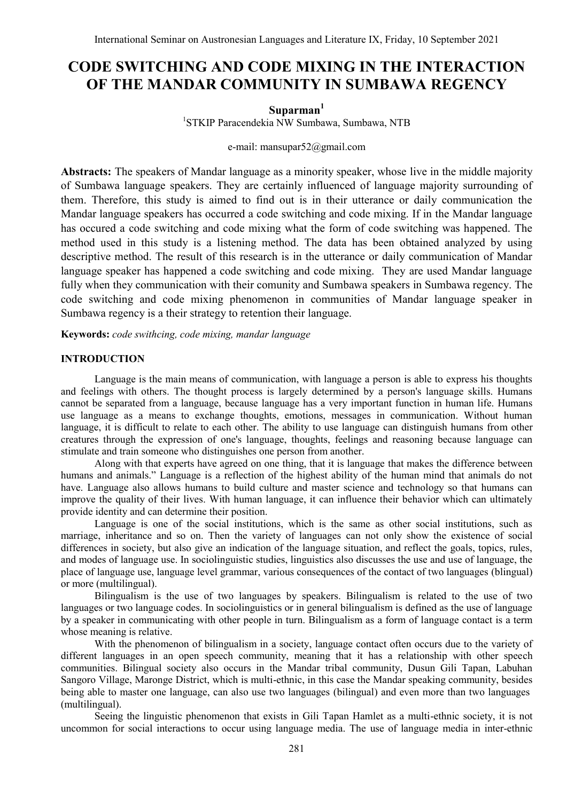# **CODE SWITCHING AND CODE MIXING IN THE INTERACTION OF THE MANDAR COMMUNITY IN SUMBAWA REGENCY**

# **Suparman<sup>1</sup>**

1 STKIP Paracendekia NW Sumbawa, Sumbawa, NTB

#### e-mail: mansupar52@gmail.com

**Abstracts:** The speakers of Mandar language as a minority speaker, whose live in the middle majority of Sumbawa language speakers. They are certainly influenced of language majority surrounding of them. Therefore, this study is aimed to find out is in their utterance or daily communication the Mandar language speakers has occurred a code switching and code mixing. If in the Mandar language has occured a code switching and code mixing what the form of code switching was happened. The method used in this study is a listening method. The data has been obtained analyzed by using descriptive method. The result of this research is in the utterance or daily communication of Mandar language speaker has happened a code switching and code mixing. They are used Mandar language fully when they communication with their comunity and Sumbawa speakers in Sumbawa regency. The code switching and code mixing phenomenon in communities of Mandar language speaker in Sumbawa regency is a their strategy to retention their language.

**Keywords:** *code swithcing, code mixing, mandar language*

# **INTRODUCTION**

Language is the main means of communication, with language a person is able to express his thoughts and feelings with others. The thought process is largely determined by a person's language skills. Humans cannot be separated from a language, because language has a very important function in human life. Humans use language as a means to exchange thoughts, emotions, messages in communication. Without human language, it is difficult to relate to each other. The ability to use language can distinguish humans from other creatures through the expression of one's language, thoughts, feelings and reasoning because language can stimulate and train someone who distinguishes one person from another.

Along with that experts have agreed on one thing, that it is language that makes the difference between humans and animals." Language is a reflection of the highest ability of the human mind that animals do not have. Language also allows humans to build culture and master science and technology so that humans can improve the quality of their lives. With human language, it can influence their behavior which can ultimately provide identity and can determine their position.

Language is one of the social institutions, which is the same as other social institutions, such as marriage, inheritance and so on. Then the variety of languages can not only show the existence of social differences in society, but also give an indication of the language situation, and reflect the goals, topics, rules, and modes of language use. In sociolinguistic studies, linguistics also discusses the use and use of language, the place of language use, language level grammar, various consequences of the contact of two languages (blingual) or more (multilingual).

Bilingualism is the use of two languages by speakers. Bilingualism is related to the use of two languages or two language codes. In sociolinguistics or in general bilingualism is defined as the use of language by a speaker in communicating with other people in turn. Bilingualism as a form of language contact is a term whose meaning is relative.

With the phenomenon of bilingualism in a society, language contact often occurs due to the variety of different languages in an open speech community, meaning that it has a relationship with other speech communities. Bilingual society also occurs in the Mandar tribal community, Dusun Gili Tapan, Labuhan Sangoro Village, Maronge District, which is multi-ethnic, in this case the Mandar speaking community, besides being able to master one language, can also use two languages (bilingual) and even more than two languages (multilingual).

Seeing the linguistic phenomenon that exists in Gili Tapan Hamlet as a multi-ethnic society, it is not uncommon for social interactions to occur using language media. The use of language media in inter-ethnic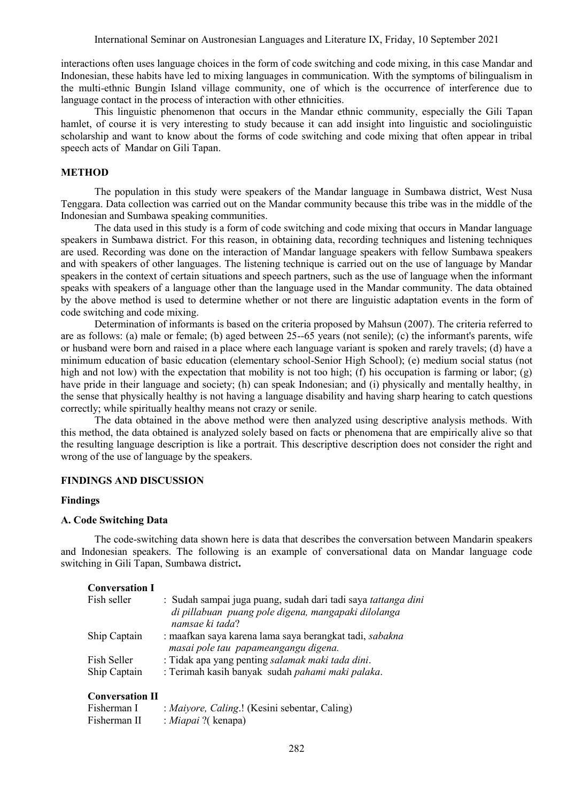interactions often uses language choices in the form of code switching and code mixing, in this case Mandar and Indonesian, these habits have led to mixing languages in communication. With the symptoms of bilingualism in the multi-ethnic Bungin Island village community, one of which is the occurrence of interference due to language contact in the process of interaction with other ethnicities.

This linguistic phenomenon that occurs in the Mandar ethnic community, especially the Gili Tapan hamlet, of course it is very interesting to study because it can add insight into linguistic and sociolinguistic scholarship and want to know about the forms of code switching and code mixing that often appear in tribal speech acts of Mandar on Gili Tapan.

#### **METHOD**

The population in this study were speakers of the Mandar language in Sumbawa district, West Nusa Tenggara. Data collection was carried out on the Mandar community because this tribe was in the middle of the Indonesian and Sumbawa speaking communities.

The data used in this study is a form of code switching and code mixing that occurs in Mandar language speakers in Sumbawa district. For this reason, in obtaining data, recording techniques and listening techniques are used. Recording was done on the interaction of Mandar language speakers with fellow Sumbawa speakers and with speakers of other languages. The listening technique is carried out on the use of language by Mandar speakers in the context of certain situations and speech partners, such as the use of language when the informant speaks with speakers of a language other than the language used in the Mandar community. The data obtained by the above method is used to determine whether or not there are linguistic adaptation events in the form of code switching and code mixing.

Determination of informants is based on the criteria proposed by Mahsun (2007). The criteria referred to are as follows: (a) male or female; (b) aged between 25--65 years (not senile); (c) the informant's parents, wife or husband were born and raised in a place where each language variant is spoken and rarely travels; (d) have a minimum education of basic education (elementary school-Senior High School); (e) medium social status (not high and not low) with the expectation that mobility is not too high; (f) his occupation is farming or labor; (g) have pride in their language and society; (h) can speak Indonesian; and (i) physically and mentally healthy, in the sense that physically healthy is not having a language disability and having sharp hearing to catch questions correctly; while spiritually healthy means not crazy or senile.

The data obtained in the above method were then analyzed using descriptive analysis methods. With this method, the data obtained is analyzed solely based on facts or phenomena that are empirically alive so that the resulting language description is like a portrait. This descriptive description does not consider the right and wrong of the use of language by the speakers.

# **FINDINGS AND DISCUSSION**

#### **Findings**

#### **A. Code Switching Data**

The code-switching data shown here is data that describes the conversation between Mandarin speakers and Indonesian speakers. The following is an example of conversational data on Mandar language code switching in Gili Tapan, Sumbawa district**.**

#### **Conversation I**

| : Sudah sampai juga puang, sudah dari tadi saya tattanga dini |
|---------------------------------------------------------------|
|                                                               |
|                                                               |
|                                                               |
|                                                               |
|                                                               |
|                                                               |
| : maafkan saya karena lama saya berangkat tadi, sabakna       |

#### **Conversation II**

| Fisherman I  | : Maiyore, Caling.! (Kesini sebentar, Caling) |
|--------------|-----------------------------------------------|
| Fisherman II | : <i>Miapai</i> ?( kenapa)                    |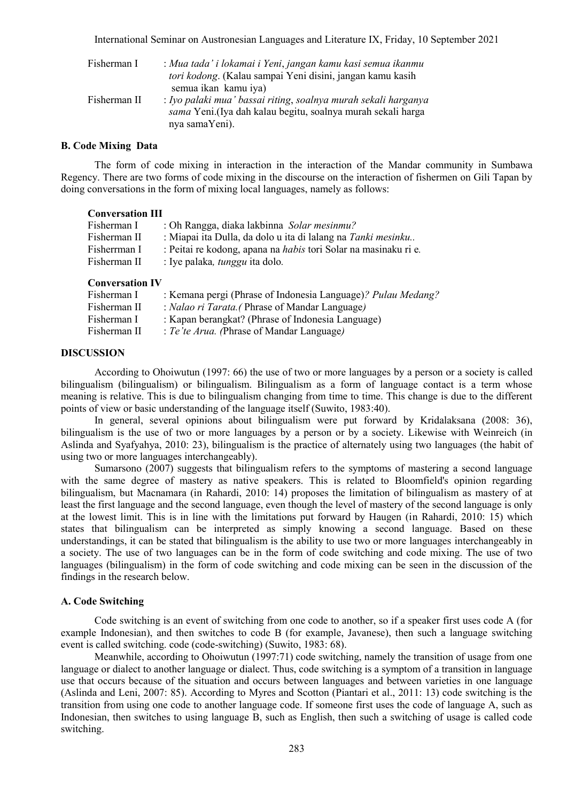International Seminar on Austronesian Languages and Literature IX, Friday, 10 September 2021

| Fisherman I  | : Mua tada' i lokamai i Yeni, jangan kamu kasi semua ikanmu<br>tori kodong. (Kalau sampai Yeni disini, jangan kamu kasih<br>semua ikan kamu iya) |
|--------------|--------------------------------------------------------------------------------------------------------------------------------------------------|
| Fisherman II | : Iyo palaki mua' bassai riting, soalnya murah sekali harganya<br>sama Yeni.(Iya dah kalau begitu, soalnya murah sekali harga<br>nya samaYeni).  |

#### **B. Code Mixing Data**

The form of code mixing in interaction in the interaction of the Mandar community in Sumbawa Regency. There are two forms of code mixing in the discourse on the interaction of fishermen on Gili Tapan by doing conversations in the form of mixing local languages, namely as follows:

## **Conversation III**

| Fisherman I  | : Oh Rangga, diaka lakbinna Solar mesinmu?                             |
|--------------|------------------------------------------------------------------------|
| Fisherman II | : Miapai ita Dulla, da dolo u ita di lalang na Tanki mesinku           |
| Fisherrman I | : Peitai re kodong, apana na <i>habis</i> tori Solar na masinaku ri e. |
| Fisherman II | : Iye palaka, <i>tunggu</i> ita dolo.                                  |
|              |                                                                        |

#### **Conversation IV**

| Fisherman I  | : Kemana pergi (Phrase of Indonesia Language)? Pulau Medang? |
|--------------|--------------------------------------------------------------|
| Fisherman II | : Nalao ri Tarata. (Phrase of Mandar Language)               |
| Fisherman I  | : Kapan berangkat? (Phrase of Indonesia Language)            |
| Fisherman II | : Te'te Arua. (Phrase of Mandar Language)                    |

## **DISCUSSION**

According to Ohoiwutun (1997: 66) the use of two or more languages by a person or a society is called bilingualism (bilingualism) or bilingualism. Bilingualism as a form of language contact is a term whose meaning is relative. This is due to bilingualism changing from time to time. This change is due to the different points of view or basic understanding of the language itself (Suwito, 1983:40).

In general, several opinions about bilingualism were put forward by Kridalaksana (2008: 36), bilingualism is the use of two or more languages by a person or by a society. Likewise with Weinreich (in Aslinda and Syafyahya, 2010: 23), bilingualism is the practice of alternately using two languages (the habit of using two or more languages interchangeably).

Sumarsono (2007) suggests that bilingualism refers to the symptoms of mastering a second language with the same degree of mastery as native speakers. This is related to Bloomfield's opinion regarding bilingualism, but Macnamara (in Rahardi, 2010: 14) proposes the limitation of bilingualism as mastery of at least the first language and the second language, even though the level of mastery of the second language is only at the lowest limit. This is in line with the limitations put forward by Haugen (in Rahardi, 2010: 15) which states that bilingualism can be interpreted as simply knowing a second language. Based on these understandings, it can be stated that bilingualism is the ability to use two or more languages interchangeably in a society. The use of two languages can be in the form of code switching and code mixing. The use of two languages (bilingualism) in the form of code switching and code mixing can be seen in the discussion of the findings in the research below.

#### **A. Code Switching**

Code switching is an event of switching from one code to another, so if a speaker first uses code A (for example Indonesian), and then switches to code B (for example, Javanese), then such a language switching event is called switching. code (code-switching) (Suwito, 1983: 68).

Meanwhile, according to Ohoiwutun (1997:71) code switching, namely the transition of usage from one language or dialect to another language or dialect. Thus, code switching is a symptom of a transition in language use that occurs because of the situation and occurs between languages and between varieties in one language (Aslinda and Leni, 2007: 85). According to Myres and Scotton (Piantari et al., 2011: 13) code switching is the transition from using one code to another language code. If someone first uses the code of language A, such as Indonesian, then switches to using language B, such as English, then such a switching of usage is called code switching.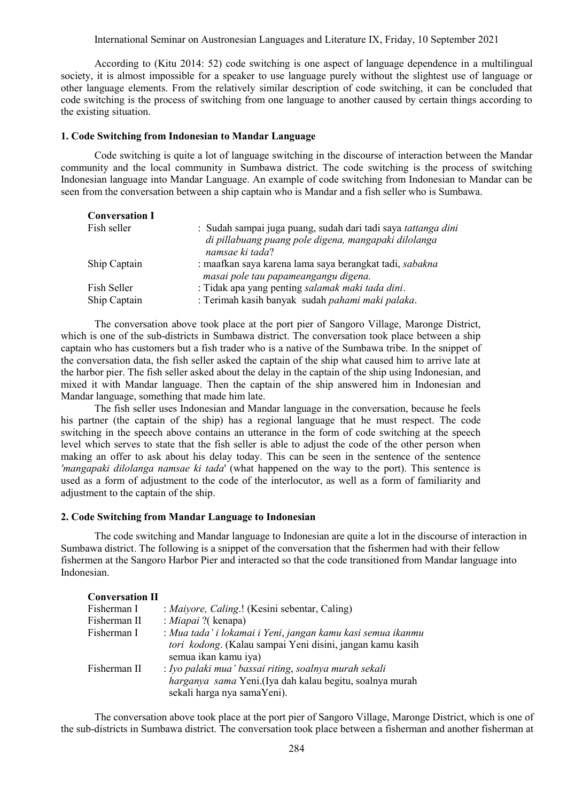International Seminar on Austronesian Languages and Literature IX, Friday, 10 September 2021

According to (Kitu 2014: 52) code switching is one aspect of language dependence in a multilingual society, it is almost impossible for a speaker to use language purely without the slightest use of language or other language elements. From the relatively similar description of code switching, it can be concluded that code switching is the process of switching from one language to another caused by certain things according to the existing situation.

#### **1. Code Switching from Indonesian to Mandar Language**

Code switching is quite a lot of language switching in the discourse of interaction between the Mandar community and the local community in Sumbawa district. The code switching is the process of switching Indonesian language into Mandar Language. An example of code switching from Indonesian to Mandar can be seen from the conversation between a ship captain who is Mandar and a fish seller who is Sumbawa.

| <b>Conversation I</b> |                                                                                                                                          |
|-----------------------|------------------------------------------------------------------------------------------------------------------------------------------|
| Fish seller           | : Sudah sampai juga puang, sudah dari tadi saya tattanga dini<br>di pillabuang puang pole digena, mangapaki dilolanga<br>namsae ki tada? |
| Ship Captain          | : maafkan saya karena lama saya berangkat tadi, sabakna<br>masai pole tau papameangangu digena.                                          |
| Fish Seller           | : Tidak apa yang penting salamak maki tada dini.                                                                                         |
| Ship Captain          | : Terimah kasih banyak sudah pahami maki palaka.                                                                                         |

The conversation above took place at the port pier of Sangoro Village, Maronge District, which is one of the sub-districts in Sumbawa district. The conversation took place between a ship captain who has customers but a fish trader who is a native of the Sumbawa tribe. In the snippet of the conversation data, the fish seller asked the captain of the ship what caused him to arrive late at the harbor pier. The fish seller asked about the delay in the captain of the ship using Indonesian, and mixed it with Mandar language. Then the captain of the ship answered him in Indonesian and Mandar language, something that made him late.

The fish seller uses Indonesian and Mandar language in the conversation, because he feels his partner (the captain of the ship) has a regional language that he must respect. The code switching in the speech above contains an utterance in the form of code switching at the speech level which serves to state that the fish seller is able to adjust the code of the other person when making an offer to ask about his delay today. This can be seen in the sentence of the sentence *'mangapaki dilolanga namsae ki tada*' (what happened on the way to the port). This sentence is used as a form of adjustment to the code of the interlocutor, as well as a form of familiarity and adjustment to the captain of the ship.

#### **2. Code Switching from Mandar Language to Indonesian**

The code switching and Mandar language to Indonesian are quite a lot in the discourse of interaction in Sumbawa district. The following is a snippet of the conversation that the fishermen had with their fellow fishermen at the Sangoro Harbor Pier and interacted so that the code transitioned from Mandar language into Indonesian.

| <b>Conversation II</b> |                                                                                                                                                  |
|------------------------|--------------------------------------------------------------------------------------------------------------------------------------------------|
| Fisherman I            | : Maiyore, Caling.! (Kesini sebentar, Caling)                                                                                                    |
| Fisherman II           | : Miapai ?(kenapa)                                                                                                                               |
| Fisherman I            | : Mua tada' i lokamai i Yeni, jangan kamu kasi semua ikanmu<br>tori kodong. (Kalau sampai Yeni disini, jangan kamu kasih<br>semua ikan kamu iya) |
| Fisherman II           | : Iyo palaki mua' bassai riting, soalnya murah sekali<br>harganya sama Yeni.(Iya dah kalau begitu, soalnya murah<br>sekali harga nya samaYeni).  |

The conversation above took place at the port pier of Sangoro Village, Maronge District, which is one of the sub-districts in Sumbawa district. The conversation took place between a fisherman and another fisherman at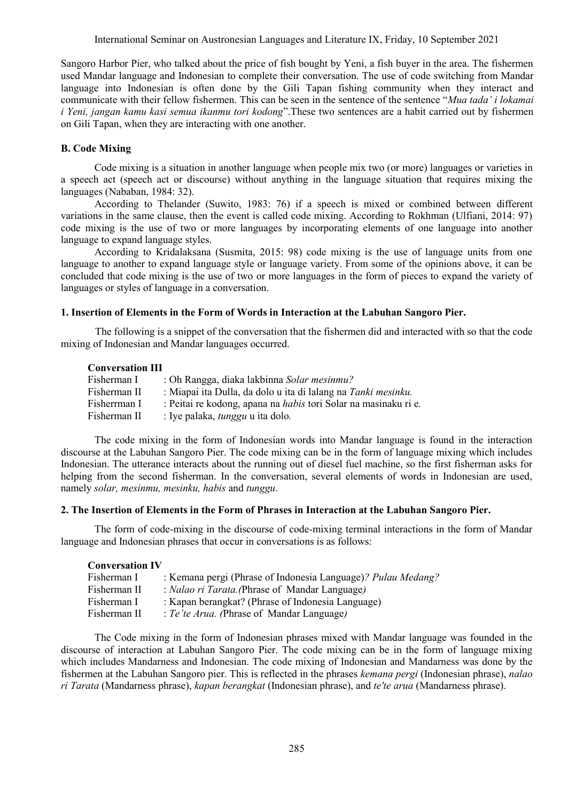Sangoro Harbor Pier, who talked about the price of fish bought by Yeni, a fish buyer in the area. The fishermen used Mandar language and Indonesian to complete their conversation. The use of code switching from Mandar language into Indonesian is often done by the Gili Tapan fishing community when they interact and communicate with their fellow fishermen. This can be seen in the sentence of the sentence "*Mua tada' i lokamai i Yeni, jangan kamu kasi semua ikanmu tori kodong*".These two sentences are a habit carried out by fishermen on Gili Tapan, when they are interacting with one another.

# **B. Code Mixing**

Code mixing is a situation in another language when people mix two (or more) languages or varieties in a speech act (speech act or discourse) without anything in the language situation that requires mixing the languages (Nababan, 1984: 32).

According to Thelander (Suwito, 1983: 76) if a speech is mixed or combined between different variations in the same clause, then the event is called code mixing. According to Rokhman (Ulfiani, 2014: 97) code mixing is the use of two or more languages by incorporating elements of one language into another language to expand language styles.

According to Kridalaksana (Susmita, 2015: 98) code mixing is the use of language units from one language to another to expand language style or language variety. From some of the opinions above, it can be concluded that code mixing is the use of two or more languages in the form of pieces to expand the variety of languages or styles of language in a conversation.

## **1. Insertion of Elements in the Form of Words in Interaction at the Labuhan Sangoro Pier.**

The following is a snippet of the conversation that the fishermen did and interacted with so that the code mixing of Indonesian and Mandar languages occurred.

#### **Conversation III**

| Fisherman I  | : Oh Rangga, diaka lakbinna Solar mesinmu?                             |
|--------------|------------------------------------------------------------------------|
| Fisherman II | : Miapai ita Dulla, da dolo u ita di lalang na Tanki mesinku.          |
| Fisherrman I | : Peitai re kodong, apana na <i>habis</i> tori Solar na masinaku ri e. |
| Fisherman II | : Iye palaka, <i>tunggu</i> u ita dolo.                                |

The code mixing in the form of Indonesian words into Mandar language is found in the interaction discourse at the Labuhan Sangoro Pier. The code mixing can be in the form of language mixing which includes Indonesian. The utterance interacts about the running out of diesel fuel machine, so the first fisherman asks for helping from the second fisherman. In the conversation, several elements of words in Indonesian are used, namely *solar, mesinmu, mesinku, habis* and *tunggu*.

## **2. The Insertion of Elements in the Form of Phrases in Interaction at the Labuhan Sangoro Pier.**

The form of code-mixing in the discourse of code-mixing terminal interactions in the form of Mandar language and Indonesian phrases that occur in conversations is as follows:

## **Conversation IV**

| Fisherman I  | : Kemana pergi (Phrase of Indonesia Language)? Pulau Medang? |
|--------------|--------------------------------------------------------------|
| Fisherman II | : Nalao ri Tarata. (Phrase of Mandar Language)               |
| Fisherman I  | : Kapan berangkat? (Phrase of Indonesia Language)            |
| Fisherman II | : Te'te Arua. (Phrase of Mandar Language)                    |

The Code mixing in the form of Indonesian phrases mixed with Mandar language was founded in the discourse of interaction at Labuhan Sangoro Pier. The code mixing can be in the form of language mixing which includes Mandarness and Indonesian. The code mixing of Indonesian and Mandarness was done by the fishermen at the Labuhan Sangoro pier. This is reflected in the phrases *kemana pergi* (Indonesian phrase), *nalao ri Tarata* (Mandarness phrase), *kapan berangkat* (Indonesian phrase), and *te'te arua* (Mandarness phrase).